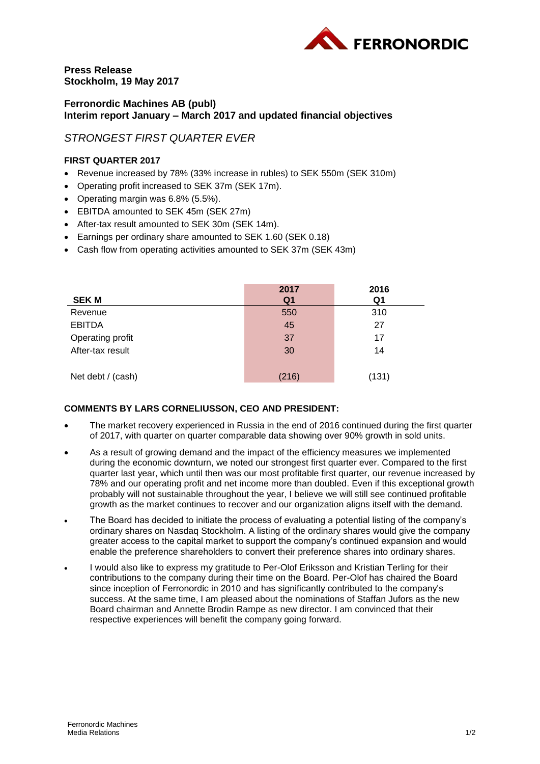

**Press Release Stockholm, 19 May 2017**

## **Ferronordic Machines AB (publ) Interim report January – March 2017 and updated financial objectives**

# *STRONGEST FIRST QUARTER EVER*

### **FIRST QUARTER 2017**

- Revenue increased by 78% (33% increase in rubles) to SEK 550m (SEK 310m)
- Operating profit increased to SEK 37m (SEK 17m).
- Operating margin was 6.8% (5.5%).
- EBITDA amounted to SEK 45m (SEK 27m)
- After-tax result amounted to SEK 30m (SEK 14m).
- Earnings per ordinary share amounted to SEK 1.60 (SEK 0.18)
- Cash flow from operating activities amounted to SEK 37m (SEK 43m)

| <b>SEKM</b>       | 2017<br>Q <sub>1</sub> | 2016<br>Q1 |
|-------------------|------------------------|------------|
| Revenue           | 550                    | 310        |
| <b>EBITDA</b>     | 45                     | 27         |
| Operating profit  | 37                     | 17         |
| After-tax result  | 30                     | 14         |
| Net debt / (cash) | (216)                  | (131)      |

### **COMMENTS BY LARS CORNELIUSSON, CEO AND PRESIDENT:**

- The market recovery experienced in Russia in the end of 2016 continued during the first quarter of 2017, with quarter on quarter comparable data showing over 90% growth in sold units.
- As a result of growing demand and the impact of the efficiency measures we implemented during the economic downturn, we noted our strongest first quarter ever. Compared to the first quarter last year, which until then was our most profitable first quarter, our revenue increased by 78% and our operating profit and net income more than doubled. Even if this exceptional growth probably will not sustainable throughout the year, I believe we will still see continued profitable growth as the market continues to recover and our organization aligns itself with the demand.
- The Board has decided to initiate the process of evaluating a potential listing of the company's ordinary shares on Nasdaq Stockholm. A listing of the ordinary shares would give the company greater access to the capital market to support the company's continued expansion and would enable the preference shareholders to convert their preference shares into ordinary shares.
- I would also like to express my gratitude to Per-Olof Eriksson and Kristian Terling for their contributions to the company during their time on the Board. Per-Olof has chaired the Board since inception of Ferronordic in 2010 and has significantly contributed to the company's success. At the same time, I am pleased about the nominations of Staffan Jufors as the new Board chairman and Annette Brodin Rampe as new director. I am convinced that their respective experiences will benefit the company going forward.